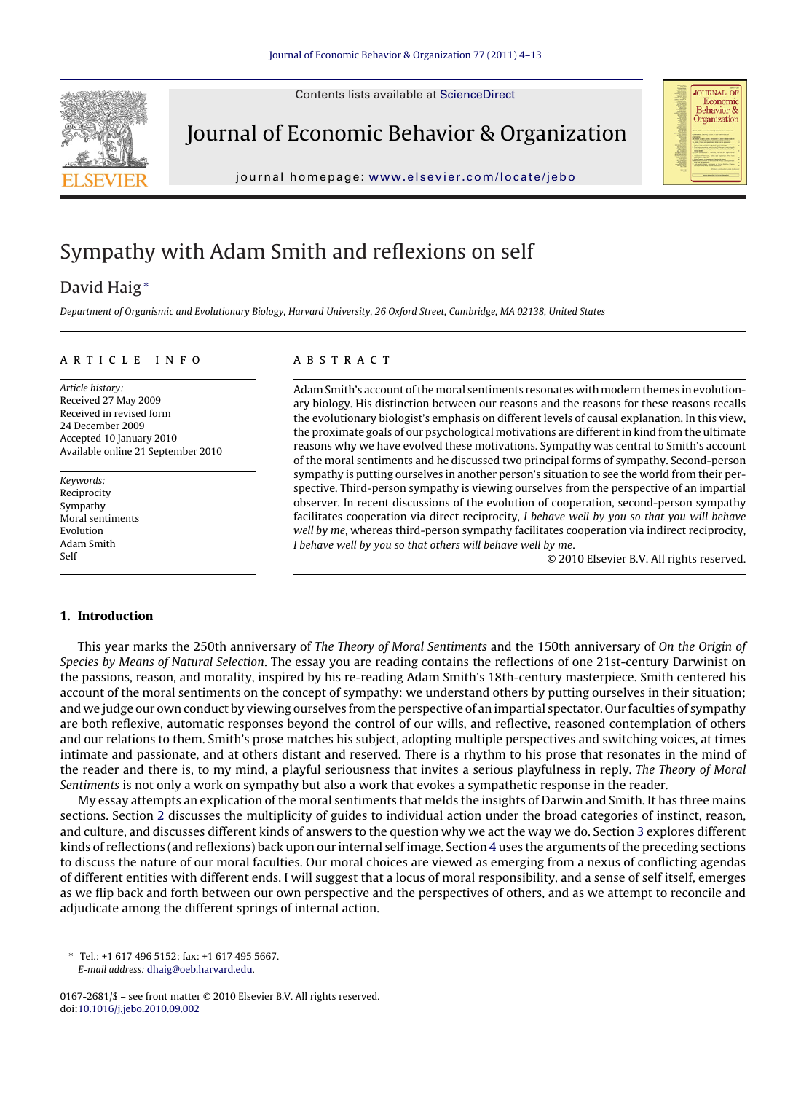Contents lists available at [ScienceDirect](http://www.sciencedirect.com/science/journal/01672681)



Journal of Economic Behavior & Organization

journal homepage: [www.elsevier.com/locate/jebo](http://www.elsevier.com/locate/jebo)

# **JOURNAL OF** Economic<br>Behavior & Organization

## Sympathy with Adam Smith and reflexions on self

### David Haig<sup>∗</sup>

Department of Organismic and Evolutionary Biology, Harvard University, 26 Oxford Street, Cambridge, MA 02138, United States

#### article info

Article history: Received 27 May 2009 Received in revised form 24 December 2009 Accepted 10 January 2010 Available online 21 September 2010

Keywords: Reciprocity Sympathy Moral sentiments Evolution Adam Smith Self

#### ABSTRACT

Adam Smith's account of the moral sentiments resonates with modern themes in evolutionary biology. His distinction between our reasons and the reasons for these reasons recalls the evolutionary biologist's emphasis on different levels of causal explanation. In this view, the proximate goals of our psychological motivations are different in kind from the ultimate reasons why we have evolved these motivations. Sympathy was central to Smith's account of the moral sentiments and he discussed two principal forms of sympathy. Second-person sympathy is putting ourselves in another person's situation to see the world from their perspective. Third-person sympathy is viewing ourselves from the perspective of an impartial observer. In recent discussions of the evolution of cooperation, second-person sympathy facilitates cooperation via direct reciprocity, I behave well by you so that you will behave well by me, whereas third-person sympathy facilitates cooperation via indirect reciprocity, I behave well by you so that others will behave well by me.

© 2010 Elsevier B.V. All rights reserved.

#### **1. Introduction**

This year marks the 250th anniversary of The Theory of Moral Sentiments and the 150th anniversary of On the Origin of Species by Means of Natural Selection. The essay you are reading contains the reflections of one 21st-century Darwinist on the passions, reason, and morality, inspired by his re-reading Adam Smith's 18th-century masterpiece. Smith centered his account of the moral sentiments on the concept of sympathy: we understand others by putting ourselves in their situation; and we judge our own conduct by viewing ourselves from the perspective of an impartial spectator. Our faculties of sympathy are both reflexive, automatic responses beyond the control of our wills, and reflective, reasoned contemplation of others and our relations to them. Smith's prose matches his subject, adopting multiple perspectives and switching voices, at times intimate and passionate, and at others distant and reserved. There is a rhythm to his prose that resonates in the mind of the reader and there is, to my mind, a playful seriousness that invites a serious playfulness in reply. The Theory of Moral Sentiments is not only a work on sympathy but also a work that evokes a sympathetic response in the reader.

My essay attempts an explication of the moral sentiments that melds the insights of Darwin and Smith. It has three mains sections. Section [2](#page-1-0) discusses the multiplicity of guides to individual action under the broad categories of instinct, reason, and culture, and discusses different kinds of answers to the question why we act the way we do. Section [3](#page-3-0) explores different kinds of reflections (and reflexions) back upon our internal self image. Section [4](#page-6-0) uses the arguments of the preceding sections to discuss the nature of our moral faculties. Our moral choices are viewed as emerging from a nexus of conflicting agendas of different entities with different ends. I will suggest that a locus of moral responsibility, and a sense of self itself, emerges as we flip back and forth between our own perspective and the perspectives of others, and as we attempt to reconcile and adjudicate among the different springs of internal action.

<sup>∗</sup> Tel.: +1 617 496 5152; fax: +1 617 495 5667. E-mail address: [dhaig@oeb.harvard.edu.](mailto:dhaig@oeb.harvard.edu)

<sup>0167-2681/\$ –</sup> see front matter © 2010 Elsevier B.V. All rights reserved. doi:[10.1016/j.jebo.2010.09.002](dx.doi.org/10.1016/j.jebo.2010.09.002)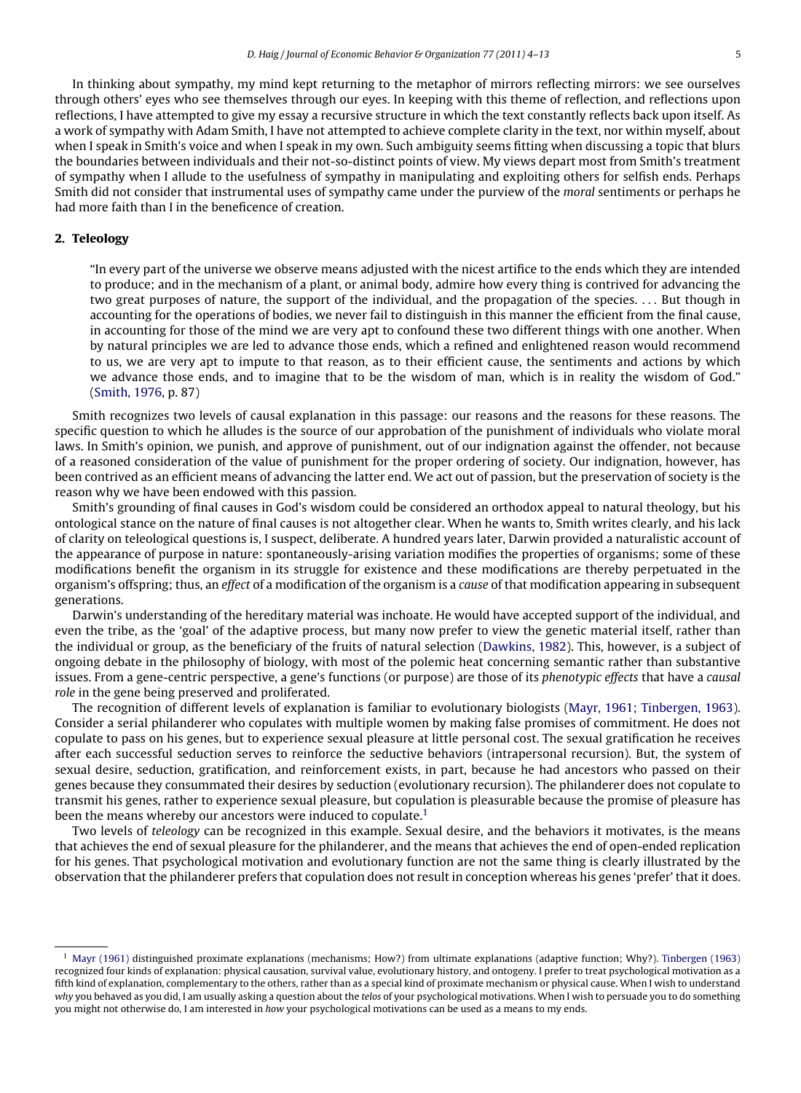<span id="page-1-0"></span>In thinking about sympathy, my mind kept returning to the metaphor of mirrors reflecting mirrors: we see ourselves through others' eyes who see themselves through our eyes. In keeping with this theme of reflection, and reflections upon reflections, I have attempted to give my essay a recursive structure in which the text constantly reflects back upon itself. As a work of sympathy with Adam Smith, I have not attempted to achieve complete clarity in the text, nor within myself, about when I speak in Smith's voice and when I speak in my own. Such ambiguity seems fitting when discussing a topic that blurs the boundaries between individuals and their not-so-distinct points of view. My views depart most from Smith's treatment of sympathy when I allude to the usefulness of sympathy in manipulating and exploiting others for selfish ends. Perhaps Smith did not consider that instrumental uses of sympathy came under the purview of the moral sentiments or perhaps he had more faith than I in the beneficence of creation.

#### **2. Teleology**

"In every part of the universe we observe means adjusted with the nicest artifice to the ends which they are intended to produce; and in the mechanism of a plant, or animal body, admire how every thing is contrived for advancing the two great purposes of nature, the support of the individual, and the propagation of the species. ... But though in accounting for the operations of bodies, we never fail to distinguish in this manner the efficient from the final cause, in accounting for those of the mind we are very apt to confound these two different things with one another. When by natural principles we are led to advance those ends, which a refined and enlightened reason would recommend to us, we are very apt to impute to that reason, as to their efficient cause, the sentiments and actions by which we advance those ends, and to imagine that to be the wisdom of man, which is in reality the wisdom of God." [\(Smith, 1976, p](#page-9-0). 87)

Smith recognizes two levels of causal explanation in this passage: our reasons and the reasons for these reasons. The specific question to which he alludes is the source of our approbation of the punishment of individuals who violate moral laws. In Smith's opinion, we punish, and approve of punishment, out of our indignation against the offender, not because of a reasoned consideration of the value of punishment for the proper ordering of society. Our indignation, however, has been contrived as an efficient means of advancing the latter end. We act out of passion, but the preservation of society is the reason why we have been endowed with this passion.

Smith's grounding of final causes in God's wisdom could be considered an orthodox appeal to natural theology, but his ontological stance on the nature of final causes is not altogether clear. When he wants to, Smith writes clearly, and his lack of clarity on teleological questions is, I suspect, deliberate. A hundred years later, Darwin provided a naturalistic account of the appearance of purpose in nature: spontaneously-arising variation modifies the properties of organisms; some of these modifications benefit the organism in its struggle for existence and these modifications are thereby perpetuated in the organism's offspring; thus, an effect of a modification of the organism is a cause of that modification appearing in subsequent generations.

Darwin's understanding of the hereditary material was inchoate. He would have accepted support of the individual, and even the tribe, as the 'goal' of the adaptive process, but many now prefer to view the genetic material itself, rather than the individual or group, as the beneficiary of the fruits of natural selection [\(Dawkins, 1982\).](#page-9-0) This, however, is a subject of ongoing debate in the philosophy of biology, with most of the polemic heat concerning semantic rather than substantive issues. From a gene-centric perspective, a gene's functions (or purpose) are those of its phenotypic effects that have a causal role in the gene being preserved and proliferated.

The recognition of different levels of explanation is familiar to evolutionary biologists ([Mayr, 1961; Tinbergen, 1963\).](#page-9-0) Consider a serial philanderer who copulates with multiple women by making false promises of commitment. He does not copulate to pass on his genes, but to experience sexual pleasure at little personal cost. The sexual gratification he receives after each successful seduction serves to reinforce the seductive behaviors (intrapersonal recursion). But, the system of sexual desire, seduction, gratification, and reinforcement exists, in part, because he had ancestors who passed on their genes because they consummated their desires by seduction (evolutionary recursion). The philanderer does not copulate to transmit his genes, rather to experience sexual pleasure, but copulation is pleasurable because the promise of pleasure has been the means whereby our ancestors were induced to copulate.<sup>1</sup>

Two levels of teleology can be recognized in this example. Sexual desire, and the behaviors it motivates, is the means that achieves the end of sexual pleasure for the philanderer, and the means that achieves the end of open-ended replication for his genes. That psychological motivation and evolutionary function are not the same thing is clearly illustrated by the observation that the philanderer prefers that copulation does not result in conception whereas his genes 'prefer' that it does.

 $1$  [Mayr \(1961\)](#page-9-0) distinguished proximate explanations (mechanisms; How?) from ultimate explanations (adaptive function; Why?). [Tinbergen \(1963\)](#page-9-0) recognized four kinds of explanation: physical causation, survival value, evolutionary history, and ontogeny. I prefer to treat psychological motivation as a fifth kind of explanation, complementary to the others, rather than as a special kind of proximate mechanism or physical cause. When I wish to understand why you behaved as you did, I am usually asking a question about the telos of your psychological motivations. When I wish to persuade you to do something you might not otherwise do, I am interested in how your psychological motivations can be used as a means to my ends.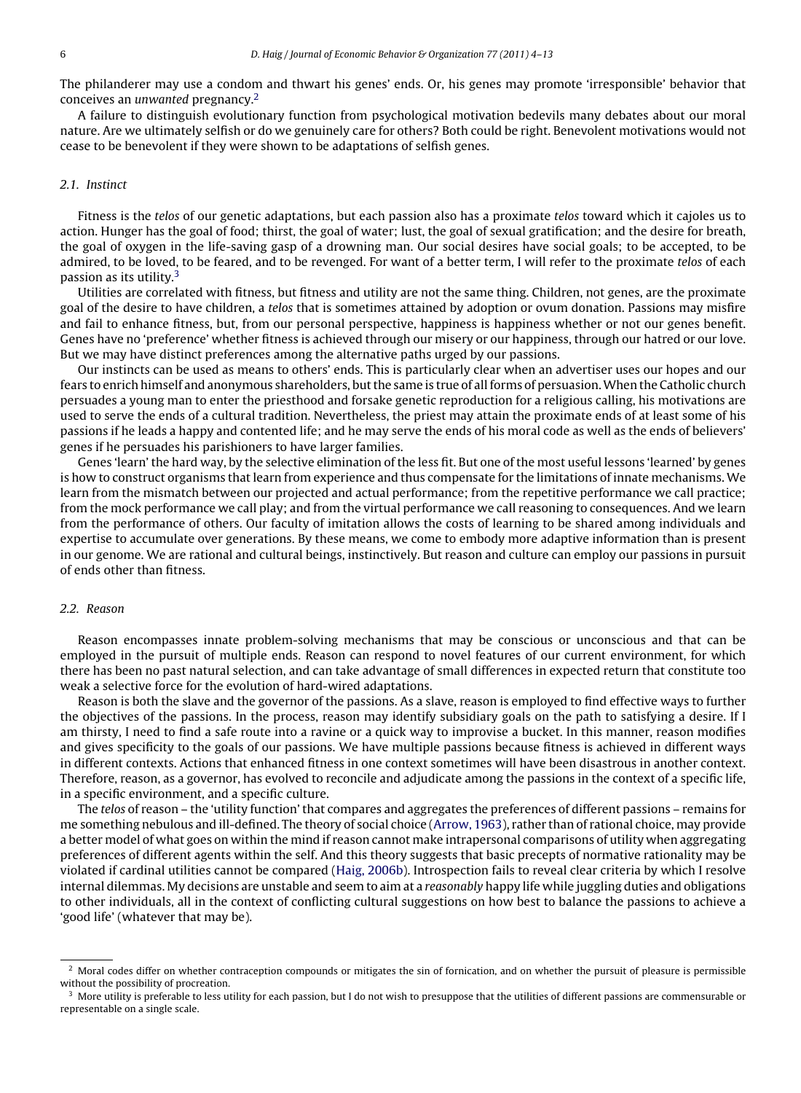The philanderer may use a condom and thwart his genes' ends. Or, his genes may promote 'irresponsible' behavior that conceives an unwanted pregnancy.2

A failure to distinguish evolutionary function from psychological motivation bedevils many debates about our moral nature. Are we ultimately selfish or do we genuinely care for others? Both could be right. Benevolent motivations would not cease to be benevolent if they were shown to be adaptations of selfish genes.

#### 2.1. Instinct

Fitness is the telos of our genetic adaptations, but each passion also has a proximate telos toward which it cajoles us to action. Hunger has the goal of food; thirst, the goal of water; lust, the goal of sexual gratification; and the desire for breath, the goal of oxygen in the life-saving gasp of a drowning man. Our social desires have social goals; to be accepted, to be admired, to be loved, to be feared, and to be revenged. For want of a better term, I will refer to the proximate telos of each passion as its utility.3

Utilities are correlated with fitness, but fitness and utility are not the same thing. Children, not genes, are the proximate goal of the desire to have children, a telos that is sometimes attained by adoption or ovum donation. Passions may misfire and fail to enhance fitness, but, from our personal perspective, happiness is happiness whether or not our genes benefit. Genes have no 'preference' whether fitness is achieved through our misery or our happiness, through our hatred or our love. But we may have distinct preferences among the alternative paths urged by our passions.

Our instincts can be used as means to others' ends. This is particularly clear when an advertiser uses our hopes and our fears to enrich himself and anonymous shareholders, but the same is true of all forms of persuasion.When the Catholic church persuades a young man to enter the priesthood and forsake genetic reproduction for a religious calling, his motivations are used to serve the ends of a cultural tradition. Nevertheless, the priest may attain the proximate ends of at least some of his passions if he leads a happy and contented life; and he may serve the ends of his moral code as well as the ends of believers' genes if he persuades his parishioners to have larger families.

Genes 'learn' the hard way, by the selective elimination of the less fit. But one of the most useful lessons 'learned' by genes is how to construct organisms that learn from experience and thus compensate for the limitations of innate mechanisms. We learn from the mismatch between our projected and actual performance; from the repetitive performance we call practice; from the mock performance we call play; and from the virtual performance we call reasoning to consequences. And we learn from the performance of others. Our faculty of imitation allows the costs of learning to be shared among individuals and expertise to accumulate over generations. By these means, we come to embody more adaptive information than is present in our genome. We are rational and cultural beings, instinctively. But reason and culture can employ our passions in pursuit of ends other than fitness.

#### 2.2. Reason

Reason encompasses innate problem-solving mechanisms that may be conscious or unconscious and that can be employed in the pursuit of multiple ends. Reason can respond to novel features of our current environment, for which there has been no past natural selection, and can take advantage of small differences in expected return that constitute too weak a selective force for the evolution of hard-wired adaptations.

Reason is both the slave and the governor of the passions. As a slave, reason is employed to find effective ways to further the objectives of the passions. In the process, reason may identify subsidiary goals on the path to satisfying a desire. If I am thirsty, I need to find a safe route into a ravine or a quick way to improvise a bucket. In this manner, reason modifies and gives specificity to the goals of our passions. We have multiple passions because fitness is achieved in different ways in different contexts. Actions that enhanced fitness in one context sometimes will have been disastrous in another context. Therefore, reason, as a governor, has evolved to reconcile and adjudicate among the passions in the context of a specific life, in a specific environment, and a specific culture.

The telos of reason – the 'utility function' that compares and aggregates the preferences of different passions – remains for me something nebulous and ill-defined. The theory of social choice ([Arrow, 1963\),](#page-8-0) rather than of rational choice, may provide a better model of what goes on within the mind if reason cannot make intrapersonal comparisons of utility when aggregating preferences of different agents within the self. And this theory suggests that basic precepts of normative rationality may be violated if cardinal utilities cannot be compared ([Haig, 2006b\).](#page-9-0) Introspection fails to reveal clear criteria by which I resolve internal dilemmas. My decisions are unstable and seem to aim at a reasonably happy life while juggling duties and obligations to other individuals, all in the context of conflicting cultural suggestions on how best to balance the passions to achieve a 'good life' (whatever that may be).

 $<sup>2</sup>$  Moral codes differ on whether contraception compounds or mitigates the sin of fornication, and on whether the pursuit of pleasure is permissible</sup> without the possibility of procreation.

 $3\,$  More utility is preferable to less utility for each passion, but I do not wish to presuppose that the utilities of different passions are commensurable or representable on a single scale.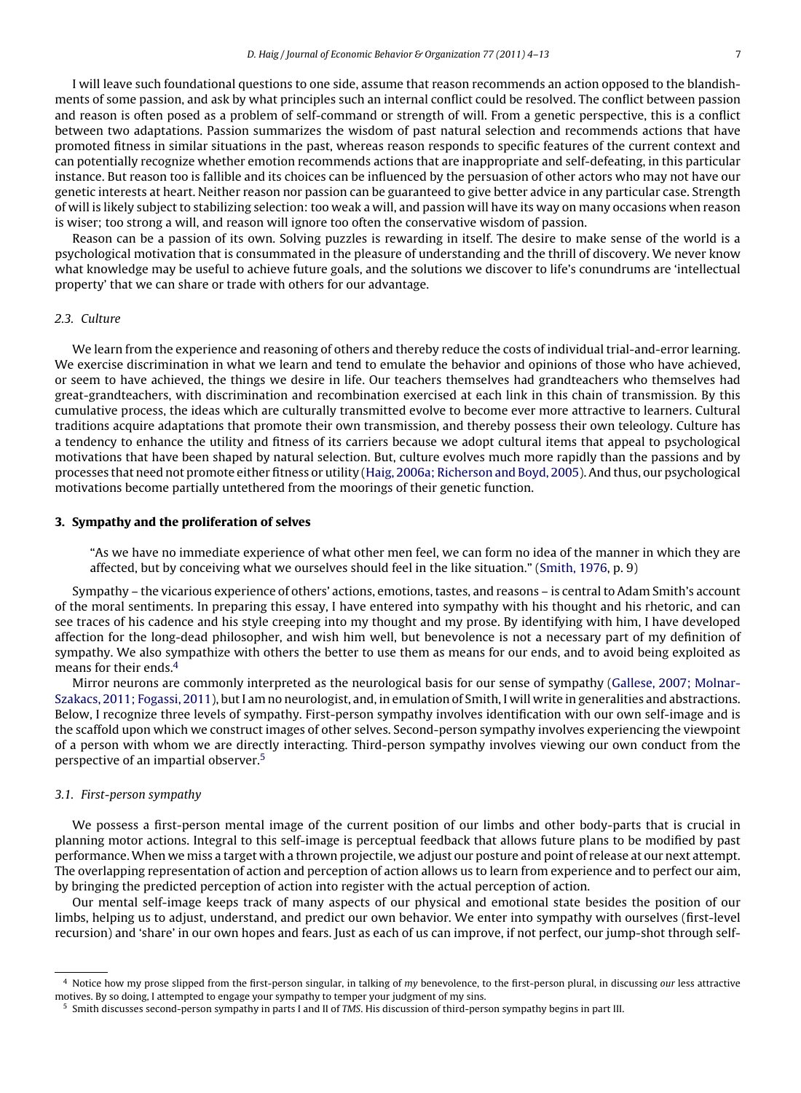<span id="page-3-0"></span>I will leave such foundational questions to one side, assume that reason recommends an action opposed to the blandishments of some passion, and ask by what principles such an internal conflict could be resolved. The conflict between passion and reason is often posed as a problem of self-command or strength of will. From a genetic perspective, this is a conflict between two adaptations. Passion summarizes the wisdom of past natural selection and recommends actions that have promoted fitness in similar situations in the past, whereas reason responds to specific features of the current context and can potentially recognize whether emotion recommends actions that are inappropriate and self-defeating, in this particular instance. But reason too is fallible and its choices can be influenced by the persuasion of other actors who may not have our genetic interests at heart. Neither reason nor passion can be guaranteed to give better advice in any particular case. Strength of will is likely subject to stabilizing selection: too weak a will, and passion will have its way on many occasions when reason is wiser; too strong a will, and reason will ignore too often the conservative wisdom of passion.

Reason can be a passion of its own. Solving puzzles is rewarding in itself. The desire to make sense of the world is a psychological motivation that is consummated in the pleasure of understanding and the thrill of discovery. We never know what knowledge may be useful to achieve future goals, and the solutions we discover to life's conundrums are 'intellectual property' that we can share or trade with others for our advantage.

#### 2.3. Culture

We learn from the experience and reasoning of others and thereby reduce the costs of individual trial-and-error learning. We exercise discrimination in what we learn and tend to emulate the behavior and opinions of those who have achieved, or seem to have achieved, the things we desire in life. Our teachers themselves had grandteachers who themselves had great-grandteachers, with discrimination and recombination exercised at each link in this chain of transmission. By this cumulative process, the ideas which are culturally transmitted evolve to become ever more attractive to learners. Cultural traditions acquire adaptations that promote their own transmission, and thereby possess their own teleology. Culture has a tendency to enhance the utility and fitness of its carriers because we adopt cultural items that appeal to psychological motivations that have been shaped by natural selection. But, culture evolves much more rapidly than the passions and by processes that need not promote either fitness or utility ([Haig, 2006a; Richerson and Boyd, 2005\).](#page-9-0) And thus, our psychological motivations become partially untethered from the moorings of their genetic function.

#### **3. Sympathy and the proliferation of selves**

"As we have no immediate experience of what other men feel, we can form no idea of the manner in which they are affected, but by conceiving what we ourselves should feel in the like situation." [\(Smith, 1976, p](#page-9-0). 9)

Sympathy – the vicarious experience of others' actions, emotions, tastes, and reasons – is central to Adam Smith's account of the moral sentiments. In preparing this essay, I have entered into sympathy with his thought and his rhetoric, and can see traces of his cadence and his style creeping into my thought and my prose. By identifying with him, I have developed affection for the long-dead philosopher, and wish him well, but benevolence is not a necessary part of my definition of sympathy. We also sympathize with others the better to use them as means for our ends, and to avoid being exploited as means for their ends.4

Mirror neurons are commonly interpreted as the neurological basis for our sense of sympathy [\(Gallese, 2007; Molnar-](#page-9-0)Szakacs, [2011; Fogassi, 2011\),](#page-9-0) but I am no neurologist, and, in emulation of Smith, I will write in generalities and abstractions. Below, I recognize three levels of sympathy. First-person sympathy involves identification with our own self-image and is the scaffold upon which we construct images of other selves. Second-person sympathy involves experiencing the viewpoint of a person with whom we are directly interacting. Third-person sympathy involves viewing our own conduct from the perspective of an impartial observer.5

#### 3.1. First-person sympathy

We possess a first-person mental image of the current position of our limbs and other body-parts that is crucial in planning motor actions. Integral to this self-image is perceptual feedback that allows future plans to be modified by past performance. When we miss a target with a thrown projectile, we adjust our posture and point of release at our next attempt. The overlapping representation of action and perception of action allows us to learn from experience and to perfect our aim, by bringing the predicted perception of action into register with the actual perception of action.

Our mental self-image keeps track of many aspects of our physical and emotional state besides the position of our limbs, helping us to adjust, understand, and predict our own behavior. We enter into sympathy with ourselves (first-level recursion) and 'share' in our own hopes and fears. Just as each of us can improve, if not perfect, our jump-shot through self-

 $4$  Notice how my prose slipped from the first-person singular, in talking of my benevolence, to the first-person plural, in discussing our less attractive motives. By so doing, I attempted to engage your sympathy to temper your judgment of my sins.

<sup>5</sup> Smith discusses second-person sympathy in parts I and II of TMS. His discussion of third-person sympathy begins in part III.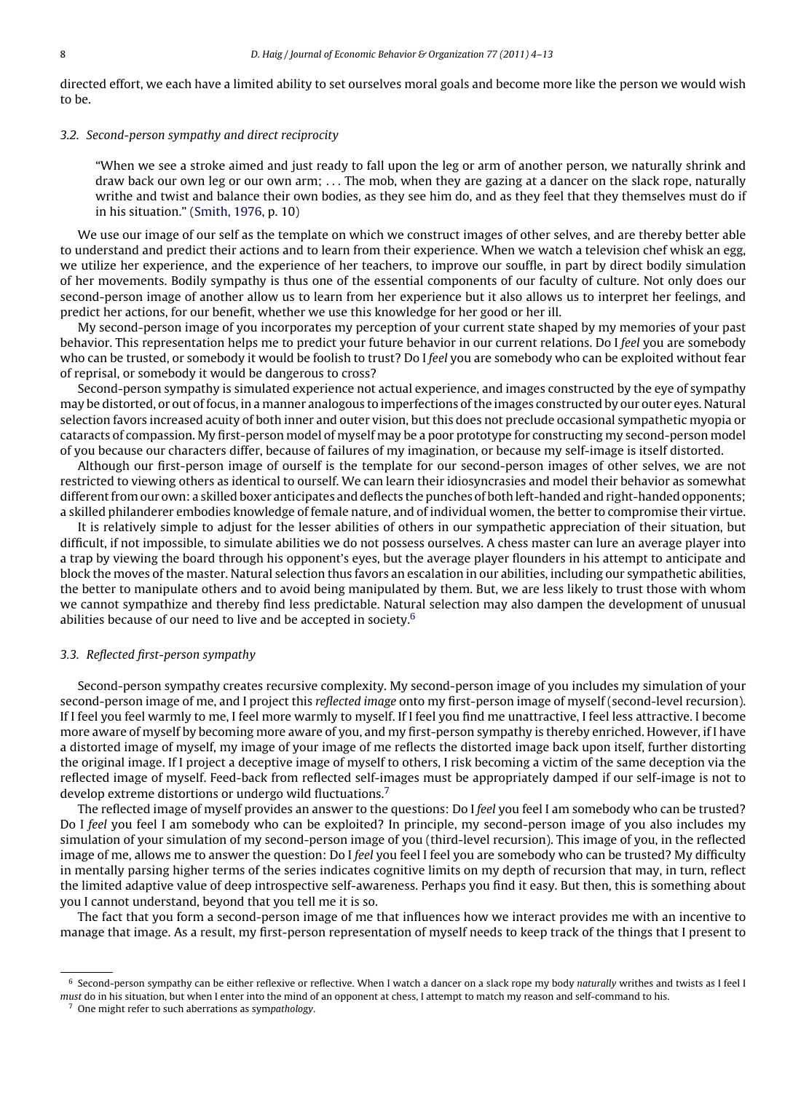directed effort, we each have a limited ability to set ourselves moral goals and become more like the person we would wish to be.

#### 3.2. Second-person sympathy and direct reciprocity

"When we see a stroke aimed and just ready to fall upon the leg or arm of another person, we naturally shrink and draw back our own leg or our own arm; ... The mob, when they are gazing at a dancer on the slack rope, naturally writhe and twist and balance their own bodies, as they see him do, and as they feel that they themselves must do if in his situation." [\(Smith, 1976, p](#page-9-0). 10)

We use our image of our self as the template on which we construct images of other selves, and are thereby better able to understand and predict their actions and to learn from their experience. When we watch a television chef whisk an egg, we utilize her experience, and the experience of her teachers, to improve our souffle, in part by direct bodily simulation of her movements. Bodily sympathy is thus one of the essential components of our faculty of culture. Not only does our second-person image of another allow us to learn from her experience but it also allows us to interpret her feelings, and predict her actions, for our benefit, whether we use this knowledge for her good or her ill.

My second-person image of you incorporates my perception of your current state shaped by my memories of your past behavior. This representation helps me to predict your future behavior in our current relations. Do I feel you are somebody who can be trusted, or somebody it would be foolish to trust? Do I feel you are somebody who can be exploited without fear of reprisal, or somebody it would be dangerous to cross?

Second-person sympathy is simulated experience not actual experience, and images constructed by the eye of sympathy may be distorted, or out of focus, in a manner analogous to imperfections of the images constructed by our outer eyes. Natural selection favors increased acuity of both inner and outer vision, but this does not preclude occasional sympathetic myopia or cataracts of compassion. My first-person model of myself may be a poor prototype for constructing my second-person model of you because our characters differ, because of failures of my imagination, or because my self-image is itself distorted.

Although our first-person image of ourself is the template for our second-person images of other selves, we are not restricted to viewing others as identical to ourself. We can learn their idiosyncrasies and model their behavior as somewhat different from our own: a skilled boxer anticipates and deflects the punches of both left-handed and right-handed opponents; a skilled philanderer embodies knowledge of female nature, and of individual women, the better to compromise their virtue.

It is relatively simple to adjust for the lesser abilities of others in our sympathetic appreciation of their situation, but difficult, if not impossible, to simulate abilities we do not possess ourselves. A chess master can lure an average player into a trap by viewing the board through his opponent's eyes, but the average player flounders in his attempt to anticipate and block the moves of the master. Natural selection thus favors an escalation in our abilities, including our sympathetic abilities, the better to manipulate others and to avoid being manipulated by them. But, we are less likely to trust those with whom we cannot sympathize and thereby find less predictable. Natural selection may also dampen the development of unusual abilities because of our need to live and be accepted in society.6

#### 3.3. Reflected first-person sympathy

Second-person sympathy creates recursive complexity. My second-person image of you includes my simulation of your second-person image of me, and I project this reflected image onto my first-person image of myself (second-level recursion). If I feel you feel warmly to me, I feel more warmly to myself. If I feel you find me unattractive, I feel less attractive. I become more aware of myself by becoming more aware of you, and my first-person sympathy is thereby enriched. However, if I have a distorted image of myself, my image of your image of me reflects the distorted image back upon itself, further distorting the original image. If I project a deceptive image of myself to others, I risk becoming a victim of the same deception via the reflected image of myself. Feed-back from reflected self-images must be appropriately damped if our self-image is not to develop extreme distortions or undergo wild fluctuations.7

The reflected image of myself provides an answer to the questions: Do I feel you feel I am somebody who can be trusted? Do I feel you feel I am somebody who can be exploited? In principle, my second-person image of you also includes my simulation of your simulation of my second-person image of you (third-level recursion). This image of you, in the reflected image of me, allows me to answer the question: Do I feel you feel I feel you are somebody who can be trusted? My difficulty in mentally parsing higher terms of the series indicates cognitive limits on my depth of recursion that may, in turn, reflect the limited adaptive value of deep introspective self-awareness. Perhaps you find it easy. But then, this is something about you I cannot understand, beyond that you tell me it is so.

The fact that you form a second-person image of me that influences how we interact provides me with an incentive to manage that image. As a result, my first-person representation of myself needs to keep track of the things that I present to

 $6$  Second-person sympathy can be either reflexive or reflective. When I watch a dancer on a slack rope my body naturally writhes and twists as I feel I must do in his situation, but when I enter into the mind of an opponent at chess, I attempt to match my reason and self-command to his.

One might refer to such aberrations as sympathology.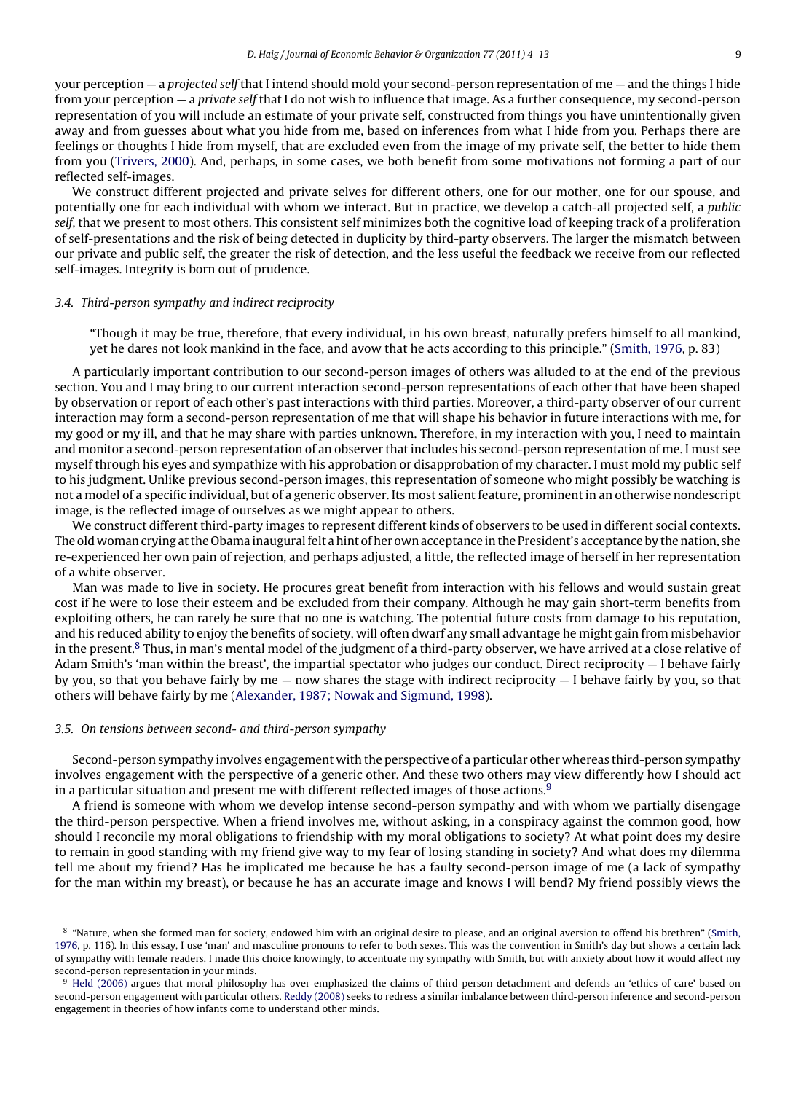your perception — a projected self that I intend should mold your second-person representation of me — and the things I hide from your perception — a *private self* that I do not wish to influence that image. As a further consequence, my second-person representation of you will include an estimate of your private self, constructed from things you have unintentionally given away and from guesses about what you hide from me, based on inferences from what I hide from you. Perhaps there are feelings or thoughts I hide from myself, that are excluded even from the image of my private self, the better to hide them from you [\(Trivers, 2000\).](#page-9-0) And, perhaps, in some cases, we both benefit from some motivations not forming a part of our reflected self-images.

We construct different projected and private selves for different others, one for our mother, one for our spouse, and potentially one for each individual with whom we interact. But in practice, we develop a catch-all projected self, a public self, that we present to most others. This consistent self minimizes both the cognitive load of keeping track of a proliferation of self-presentations and the risk of being detected in duplicity by third-party observers. The larger the mismatch between our private and public self, the greater the risk of detection, and the less useful the feedback we receive from our reflected self-images. Integrity is born out of prudence.

#### 3.4. Third-person sympathy and indirect reciprocity

"Though it may be true, therefore, that every individual, in his own breast, naturally prefers himself to all mankind, yet he dares not look mankind in the face, and avow that he acts according to this principle." [\(Smith, 1976, p](#page-9-0). 83)

A particularly important contribution to our second-person images of others was alluded to at the end of the previous section. You and I may bring to our current interaction second-person representations of each other that have been shaped by observation or report of each other's past interactions with third parties. Moreover, a third-party observer of our current interaction may form a second-person representation of me that will shape his behavior in future interactions with me, for my good or my ill, and that he may share with parties unknown. Therefore, in my interaction with you, I need to maintain and monitor a second-person representation of an observer that includes his second-person representation of me. I must see myself through his eyes and sympathize with his approbation or disapprobation of my character. I must mold my public self to his judgment. Unlike previous second-person images, this representation of someone who might possibly be watching is not a model of a specific individual, but of a generic observer. Its most salient feature, prominent in an otherwise nondescript image, is the reflected image of ourselves as we might appear to others.

We construct different third-party images to represent different kinds of observers to be used in different social contexts. The old woman crying at the Obama inaugural felt a hint of her own acceptance in the President's acceptance by the nation, she re-experienced her own pain of rejection, and perhaps adjusted, a little, the reflected image of herself in her representation of a white observer.

Man was made to live in society. He procures great benefit from interaction with his fellows and would sustain great cost if he were to lose their esteem and be excluded from their company. Although he may gain short-term benefits from exploiting others, he can rarely be sure that no one is watching. The potential future costs from damage to his reputation, and his reduced ability to enjoy the benefits of society, will often dwarf any small advantage he might gain from misbehavior in the present.<sup>8</sup> Thus, in man's mental model of the judgment of a third-party observer, we have arrived at a close relative of Adam Smith's 'man within the breast', the impartial spectator who judges our conduct. Direct reciprocity — I behave fairly by you, so that you behave fairly by me — now shares the stage with indirect reciprocity — I behave fairly by you, so that others will behave fairly by me [\(Alexander, 1987; Nowak and Sigmund, 1998\).](#page-8-0)

#### 3.5. On tensions between second- and third-person sympathy

Second-person sympathy involves engagement with the perspective of a particular other whereas third-person sympathy involves engagement with the perspective of a generic other. And these two others may view differently how I should act in a particular situation and present me with different reflected images of those actions. $9$ 

A friend is someone with whom we develop intense second-person sympathy and with whom we partially disengage the third-person perspective. When a friend involves me, without asking, in a conspiracy against the common good, how should I reconcile my moral obligations to friendship with my moral obligations to society? At what point does my desire to remain in good standing with my friend give way to my fear of losing standing in society? And what does my dilemma tell me about my friend? Has he implicated me because he has a faulty second-person image of me (a lack of sympathy for the man within my breast), or because he has an accurate image and knows I will bend? My friend possibly views the

<sup>8</sup> "Nature, when she formed man for society, endowed him with an original desire to please, and an original aversion to offend his brethren" ([Smith,](#page-9-0) [1976, p](#page-9-0). 116). In this essay, I use 'man' and masculine pronouns to refer to both sexes. This was the convention in Smith's day but shows a certain lack of sympathy with female readers. I made this choice knowingly, to accentuate my sympathy with Smith, but with anxiety about how it would affect my second-person representation in your minds.

<sup>&</sup>lt;sup>9</sup> [Held \(2006\)](#page-9-0) argues that moral philosophy has over-emphasized the claims of third-person detachment and defends an 'ethics of care' based on second-person engagement with particular others. [Reddy \(2008\)](#page-9-0) seeks to redress a similar imbalance between third-person inference and second-person engagement in theories of how infants come to understand other minds.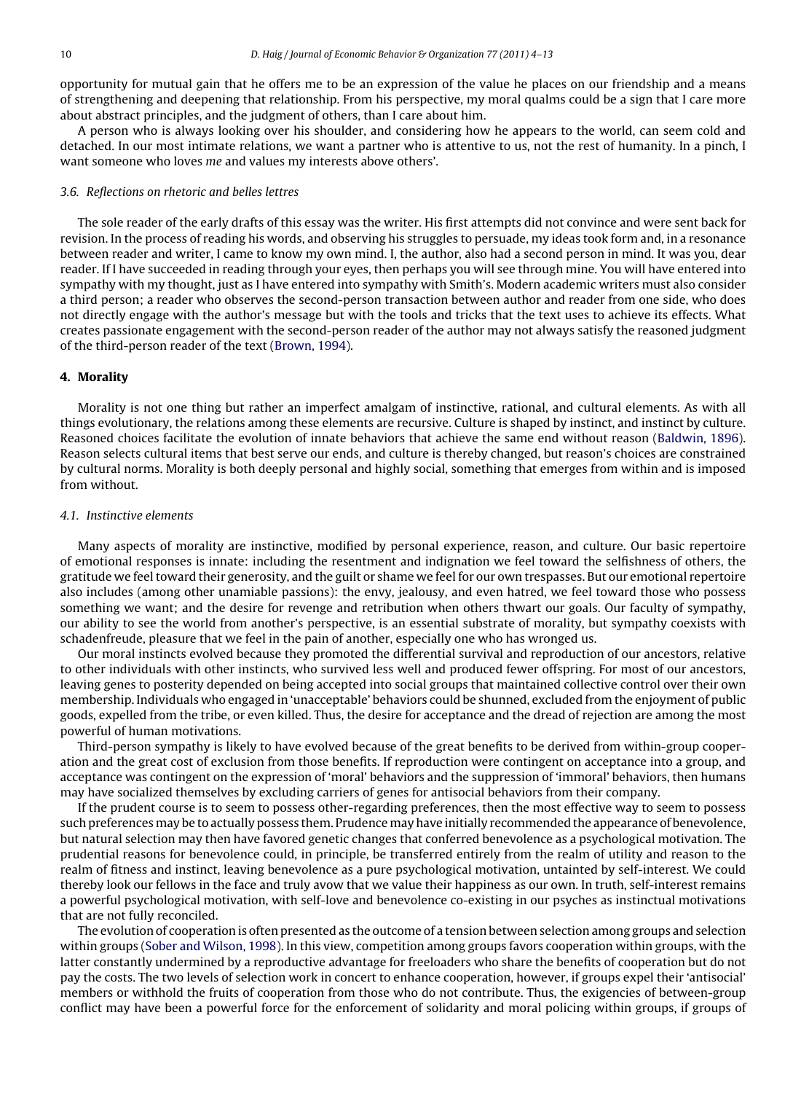<span id="page-6-0"></span>opportunity for mutual gain that he offers me to be an expression of the value he places on our friendship and a means of strengthening and deepening that relationship. From his perspective, my moral qualms could be a sign that I care more about abstract principles, and the judgment of others, than I care about him.

A person who is always looking over his shoulder, and considering how he appears to the world, can seem cold and detached. In our most intimate relations, we want a partner who is attentive to us, not the rest of humanity. In a pinch, I want someone who loves me and values my interests above others'.

#### 3.6. Reflections on rhetoric and belles lettres

The sole reader of the early drafts of this essay was the writer. His first attempts did not convince and were sent back for revision. In the process of reading his words, and observing his struggles to persuade, my ideas took form and, in a resonance between reader and writer, I came to know my own mind. I, the author, also had a second person in mind. It was you, dear reader. If I have succeeded in reading through your eyes, then perhaps you will see through mine. You will have entered into sympathy with my thought, just as I have entered into sympathy with Smith's. Modern academic writers must also consider a third person; a reader who observes the second-person transaction between author and reader from one side, who does not directly engage with the author's message but with the tools and tricks that the text uses to achieve its effects. What creates passionate engagement with the second-person reader of the author may not always satisfy the reasoned judgment of the third-person reader of the text ([Brown, 1994\).](#page-9-0)

#### **4. Morality**

Morality is not one thing but rather an imperfect amalgam of instinctive, rational, and cultural elements. As with all things evolutionary, the relations among these elements are recursive. Culture is shaped by instinct, and instinct by culture. Reasoned choices facilitate the evolution of innate behaviors that achieve the same end without reason [\(Baldwin, 1896\).](#page-9-0) Reason selects cultural items that best serve our ends, and culture is thereby changed, but reason's choices are constrained by cultural norms. Morality is both deeply personal and highly social, something that emerges from within and is imposed from without.

#### 4.1. Instinctive elements

Many aspects of morality are instinctive, modified by personal experience, reason, and culture. Our basic repertoire of emotional responses is innate: including the resentment and indignation we feel toward the selfishness of others, the gratitude we feel toward their generosity, and the guilt or shame we feel for our own trespasses. But our emotional repertoire also includes (among other unamiable passions): the envy, jealousy, and even hatred, we feel toward those who possess something we want; and the desire for revenge and retribution when others thwart our goals. Our faculty of sympathy, our ability to see the world from another's perspective, is an essential substrate of morality, but sympathy coexists with schadenfreude, pleasure that we feel in the pain of another, especially one who has wronged us.

Our moral instincts evolved because they promoted the differential survival and reproduction of our ancestors, relative to other individuals with other instincts, who survived less well and produced fewer offspring. For most of our ancestors, leaving genes to posterity depended on being accepted into social groups that maintained collective control over their own membership. Individuals who engaged in 'unacceptable' behaviors could be shunned, excluded from the enjoyment of public goods, expelled from the tribe, or even killed. Thus, the desire for acceptance and the dread of rejection are among the most powerful of human motivations.

Third-person sympathy is likely to have evolved because of the great benefits to be derived from within-group cooperation and the great cost of exclusion from those benefits. If reproduction were contingent on acceptance into a group, and acceptance was contingent on the expression of 'moral' behaviors and the suppression of 'immoral' behaviors, then humans may have socialized themselves by excluding carriers of genes for antisocial behaviors from their company.

If the prudent course is to seem to possess other-regarding preferences, then the most effective way to seem to possess such preferences may be to actually possess them. Prudence may have initially recommended the appearance of benevolence, but natural selection may then have favored genetic changes that conferred benevolence as a psychological motivation. The prudential reasons for benevolence could, in principle, be transferred entirely from the realm of utility and reason to the realm of fitness and instinct, leaving benevolence as a pure psychological motivation, untainted by self-interest. We could thereby look our fellows in the face and truly avow that we value their happiness as our own. In truth, self-interest remains a powerful psychological motivation, with self-love and benevolence co-existing in our psyches as instinctual motivations that are not fully reconciled.

The evolution of cooperation is often presented as the outcome of a tension between selection among groups and selection within groups ([Sober and Wilson, 1998\).](#page-9-0) In this view, competition among groups favors cooperation within groups, with the latter constantly undermined by a reproductive advantage for freeloaders who share the benefits of cooperation but do not pay the costs. The two levels of selection work in concert to enhance cooperation, however, if groups expel their 'antisocial' members or withhold the fruits of cooperation from those who do not contribute. Thus, the exigencies of between-group conflict may have been a powerful force for the enforcement of solidarity and moral policing within groups, if groups of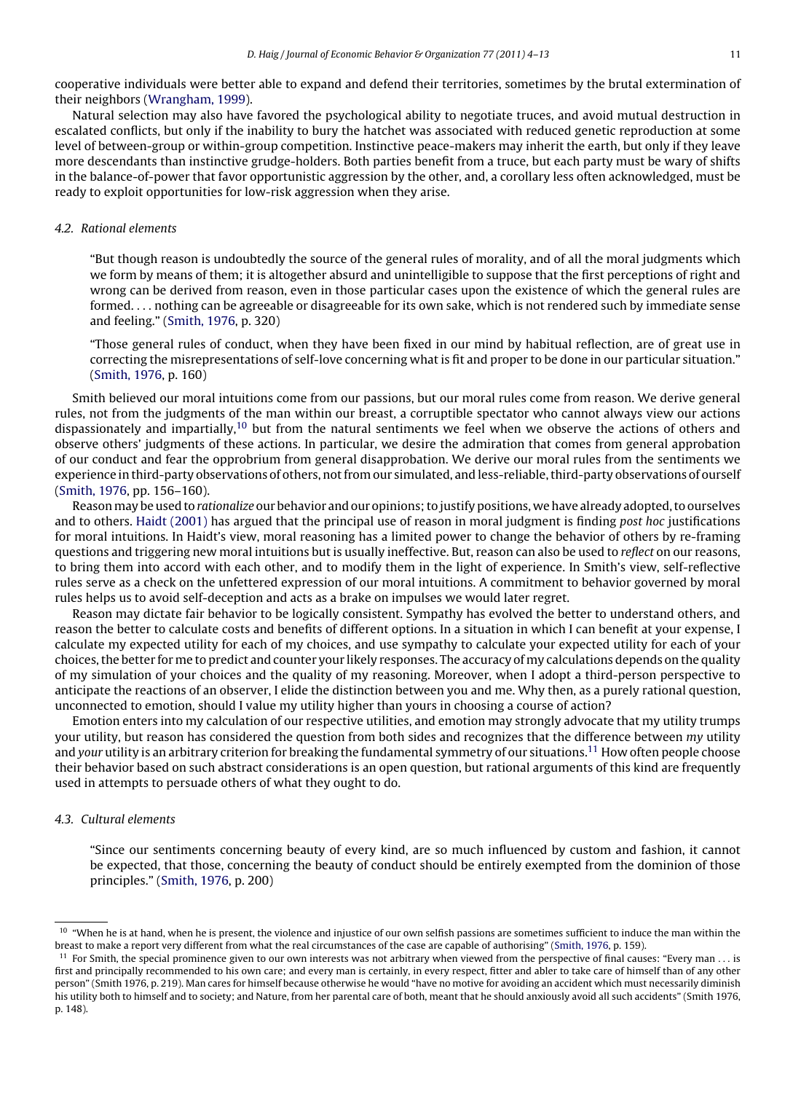cooperative individuals were better able to expand and defend their territories, sometimes by the brutal extermination of their neighbors ([Wrangham, 1999\).](#page-9-0)

Natural selection may also have favored the psychological ability to negotiate truces, and avoid mutual destruction in escalated conflicts, but only if the inability to bury the hatchet was associated with reduced genetic reproduction at some level of between-group or within-group competition. Instinctive peace-makers may inherit the earth, but only if they leave more descendants than instinctive grudge-holders. Both parties benefit from a truce, but each party must be wary of shifts in the balance-of-power that favor opportunistic aggression by the other, and, a corollary less often acknowledged, must be ready to exploit opportunities for low-risk aggression when they arise.

#### 4.2. Rational elements

"But though reason is undoubtedly the source of the general rules of morality, and of all the moral judgments which we form by means of them; it is altogether absurd and unintelligible to suppose that the first perceptions of right and wrong can be derived from reason, even in those particular cases upon the existence of which the general rules are formed. ... nothing can be agreeable or disagreeable for its own sake, which is not rendered such by immediate sense and feeling." [\(Smith, 1976, p](#page-9-0). 320)

"Those general rules of conduct, when they have been fixed in our mind by habitual reflection, are of great use in correcting the misrepresentations of self-love concerning what is fit and proper to be done in our particular situation." [\(Smith, 1976, p](#page-9-0). 160)

Smith believed our moral intuitions come from our passions, but our moral rules come from reason. We derive general rules, not from the judgments of the man within our breast, a corruptible spectator who cannot always view our actions dispassionately and impartially,<sup>10</sup> but from the natural sentiments we feel when we observe the actions of others and observe others' judgments of these actions. In particular, we desire the admiration that comes from general approbation of our conduct and fear the opprobrium from general disapprobation. We derive our moral rules from the sentiments we experience in third-party observations of others, not from our simulated, and less-reliable, third-party observations of ourself [\(Smith, 1976, p](#page-9-0)p. 156–160).

Reasonmay be used to rationalize our behavior and our opinions; to justify positions, we have already adopted, to ourselves and to others. [Haidt \(2001\)](#page-9-0) has argued that the principal use of reason in moral judgment is finding post hoc justifications for moral intuitions. In Haidt's view, moral reasoning has a limited power to change the behavior of others by re-framing questions and triggering new moral intuitions but is usually ineffective. But, reason can also be used to reflect on our reasons, to bring them into accord with each other, and to modify them in the light of experience. In Smith's view, self-reflective rules serve as a check on the unfettered expression of our moral intuitions. A commitment to behavior governed by moral rules helps us to avoid self-deception and acts as a brake on impulses we would later regret.

Reason may dictate fair behavior to be logically consistent. Sympathy has evolved the better to understand others, and reason the better to calculate costs and benefits of different options. In a situation in which I can benefit at your expense, I calculate my expected utility for each of my choices, and use sympathy to calculate your expected utility for each of your choices, the better for me to predict and counter your likely responses. The accuracy of my calculations depends on the quality of my simulation of your choices and the quality of my reasoning. Moreover, when I adopt a third-person perspective to anticipate the reactions of an observer, I elide the distinction between you and me. Why then, as a purely rational question, unconnected to emotion, should I value my utility higher than yours in choosing a course of action?

Emotion enters into my calculation of our respective utilities, and emotion may strongly advocate that my utility trumps your utility, but reason has considered the question from both sides and recognizes that the difference between my utility and your utility is an arbitrary criterion for breaking the fundamental symmetry of our situations.<sup>11</sup> How often people choose their behavior based on such abstract considerations is an open question, but rational arguments of this kind are frequently used in attempts to persuade others of what they ought to do.

#### 4.3. Cultural elements

"Since our sentiments concerning beauty of every kind, are so much influenced by custom and fashion, it cannot be expected, that those, concerning the beauty of conduct should be entirely exempted from the dominion of those principles." ([Smith, 1976, p](#page-9-0). 200)

<sup>&</sup>lt;sup>10</sup> "When he is at hand, when he is present, the violence and injustice of our own selfish passions are sometimes sufficient to induce the man within the breast to make a report very different from what the real circumstances of the case are capable of authorising" [\(Smith, 1976, p](#page-9-0). 159).

 $11$  For Smith, the special prominence given to our own interests was not arbitrary when viewed from the perspective of final causes: "Every man ... is first and principally recommended to his own care; and every man is certainly, in every respect, fitter and abler to take care of himself than of any other person" (Smith 1976, p. 219). Man cares for himself because otherwise he would "have no motive for avoiding an accident which must necessarily diminish his utility both to himself and to society; and Nature, from her parental care of both, meant that he should anxiously avoid all such accidents" (Smith 1976, p. 148).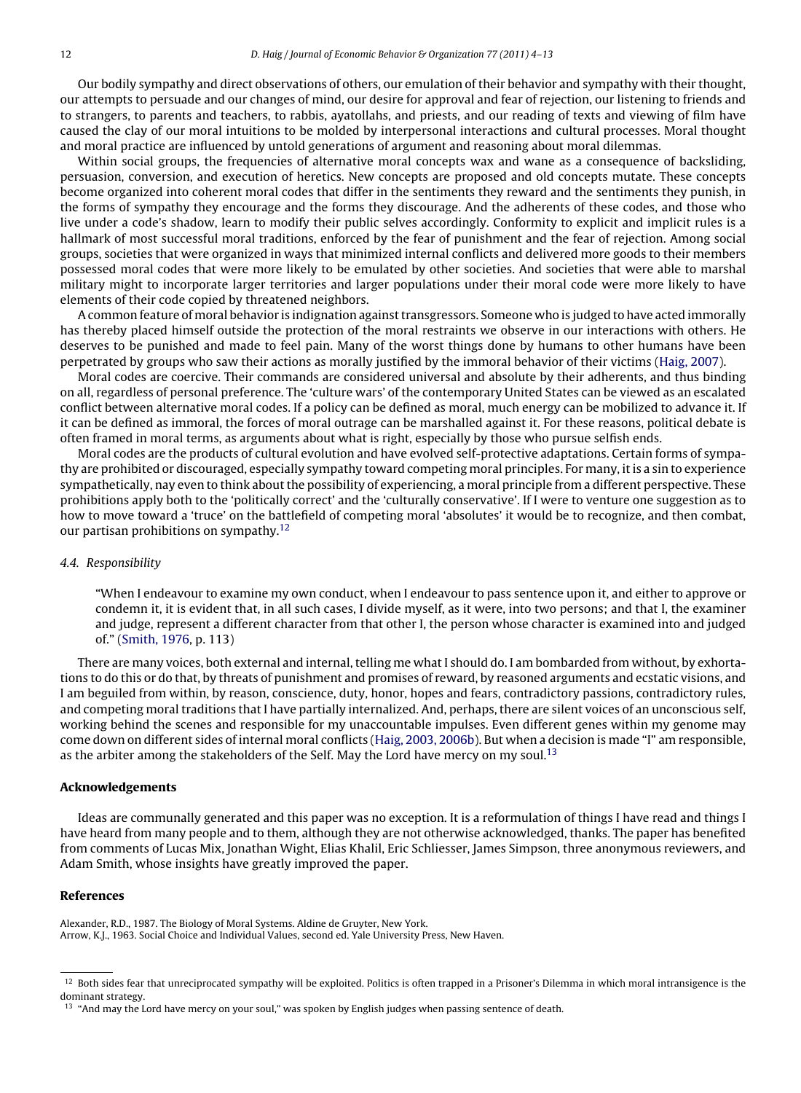<span id="page-8-0"></span>Our bodily sympathy and direct observations of others, our emulation of their behavior and sympathy with their thought, our attempts to persuade and our changes of mind, our desire for approval and fear of rejection, our listening to friends and to strangers, to parents and teachers, to rabbis, ayatollahs, and priests, and our reading of texts and viewing of film have caused the clay of our moral intuitions to be molded by interpersonal interactions and cultural processes. Moral thought and moral practice are influenced by untold generations of argument and reasoning about moral dilemmas.

Within social groups, the frequencies of alternative moral concepts wax and wane as a consequence of backsliding, persuasion, conversion, and execution of heretics. New concepts are proposed and old concepts mutate. These concepts become organized into coherent moral codes that differ in the sentiments they reward and the sentiments they punish, in the forms of sympathy they encourage and the forms they discourage. And the adherents of these codes, and those who live under a code's shadow, learn to modify their public selves accordingly. Conformity to explicit and implicit rules is a hallmark of most successful moral traditions, enforced by the fear of punishment and the fear of rejection. Among social groups, societies that were organized in ways that minimized internal conflicts and delivered more goods to their members possessed moral codes that were more likely to be emulated by other societies. And societies that were able to marshal military might to incorporate larger territories and larger populations under their moral code were more likely to have elements of their code copied by threatened neighbors.

A common feature of moral behavior is indignation against transgressors. Someone who is judged to have acted immorally has thereby placed himself outside the protection of the moral restraints we observe in our interactions with others. He deserves to be punished and made to feel pain. Many of the worst things done by humans to other humans have been perpetrated by groups who saw their actions as morally justified by the immoral behavior of their victims [\(Haig, 2007\).](#page-9-0)

Moral codes are coercive. Their commands are considered universal and absolute by their adherents, and thus binding on all, regardless of personal preference. The 'culture wars' of the contemporary United States can be viewed as an escalated conflict between alternative moral codes. If a policy can be defined as moral, much energy can be mobilized to advance it. If it can be defined as immoral, the forces of moral outrage can be marshalled against it. For these reasons, political debate is often framed in moral terms, as arguments about what is right, especially by those who pursue selfish ends.

Moral codes are the products of cultural evolution and have evolved self-protective adaptations. Certain forms of sympathy are prohibited or discouraged, especially sympathy toward competing moral principles. For many, it is a sin to experience sympathetically, nay even to think about the possibility of experiencing, a moral principle from a different perspective. These prohibitions apply both to the 'politically correct' and the 'culturally conservative'. If I were to venture one suggestion as to how to move toward a 'truce' on the battlefield of competing moral 'absolutes' it would be to recognize, and then combat, our partisan prohibitions on sympathy.12

#### 4.4. Responsibility

"When I endeavour to examine my own conduct, when I endeavour to pass sentence upon it, and either to approve or condemn it, it is evident that, in all such cases, I divide myself, as it were, into two persons; and that I, the examiner and judge, represent a different character from that other I, the person whose character is examined into and judged of." ([Smith, 1976, p](#page-9-0). 113)

There are many voices, both external and internal, telling me what I should do. I am bombarded from without, by exhortations to do this or do that, by threats of punishment and promises of reward, by reasoned arguments and ecstatic visions, and I am beguiled from within, by reason, conscience, duty, honor, hopes and fears, contradictory passions, contradictory rules, and competing moral traditions that I have partially internalized. And, perhaps, there are silent voices of an unconscious self, working behind the scenes and responsible for my unaccountable impulses. Even different genes within my genome may come down on different sides of internal moral conflicts ([Haig, 2003, 2006b\).](#page-9-0) But when a decision is made "I" am responsible, as the arbiter among the stakeholders of the Self. May the Lord have mercy on my soul.<sup>13</sup>

#### **Acknowledgements**

Ideas are communally generated and this paper was no exception. It is a reformulation of things I have read and things I have heard from many people and to them, although they are not otherwise acknowledged, thanks. The paper has benefited from comments of Lucas Mix, Jonathan Wight, Elias Khalil, Eric Schliesser, James Simpson, three anonymous reviewers, and Adam Smith, whose insights have greatly improved the paper.

#### **References**

Alexander, R.D., 1987. The Biology of Moral Systems. Aldine de Gruyter, New York. Arrow, K.J., 1963. Social Choice and Individual Values, second ed. Yale University Press, New Haven.

<sup>&</sup>lt;sup>12</sup> Both sides fear that unreciprocated sympathy will be exploited. Politics is often trapped in a Prisoner's Dilemma in which moral intransigence is the dominant strategy.

<sup>&</sup>lt;sup>13</sup> "And may the Lord have mercy on your soul," was spoken by English judges when passing sentence of death.